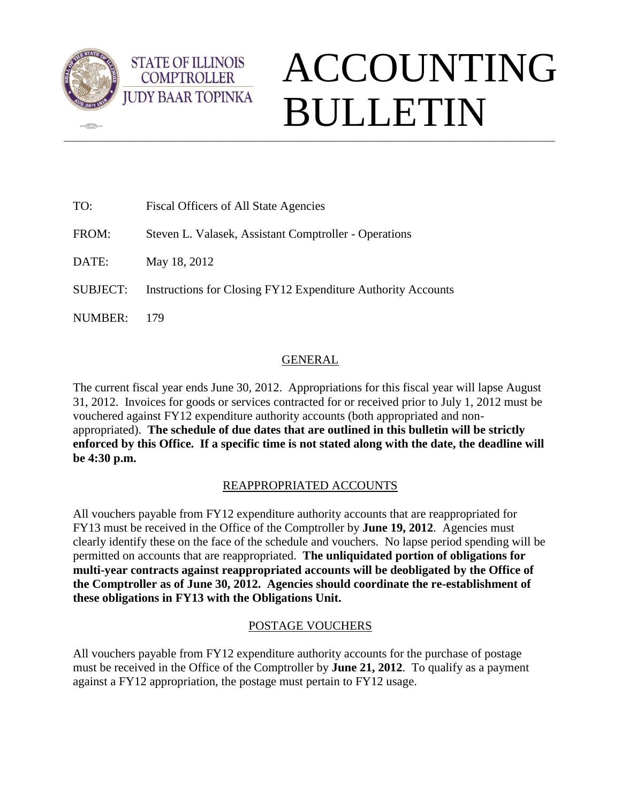

 $\sqrt{2\pi}$ 

**STATE OF ILLINOIS COMPTROLLER** 

# $\_$  ,  $\_$  ,  $\_$  ,  $\_$  ,  $\_$  ,  $\_$  ,  $\_$  ,  $\_$  ,  $\_$  ,  $\_$  ,  $\_$  ,  $\_$  ,  $\_$  ,  $\_$  ,  $\_$  ,  $\_$  ,  $\_$  ,  $\_$  ,  $\_$  ,  $\_$  ,  $\_$  ,  $\_$  ,  $\_$  ,  $\_$  ,  $\_$  ,  $\_$  ,  $\_$  ,  $\_$  ,  $\_$  ,  $\_$  ,  $\_$  ,  $\_$  ,  $\_$  ,  $\_$  ,  $\_$  ,  $\_$  ,  $\_$  , ACCOUNTING BULLETIN

| TO:             | Fiscal Officers of All State Agencies                               |
|-----------------|---------------------------------------------------------------------|
| FROM:           | Steven L. Valasek, Assistant Comptroller - Operations               |
| DATE:           | May 18, 2012                                                        |
| <b>SUBJECT:</b> | <b>Instructions for Closing FY12 Expenditure Authority Accounts</b> |
| NUMBER:         | 179                                                                 |

## GENERAL

The current fiscal year ends June 30, 2012. Appropriations for this fiscal year will lapse August 31, 2012. Invoices for goods or services contracted for or received prior to July 1, 2012 must be vouchered against FY12 expenditure authority accounts (both appropriated and nonappropriated). **The schedule of due dates that are outlined in this bulletin will be strictly enforced by this Office. If a specific time is not stated along with the date, the deadline will be 4:30 p.m.**

## REAPPROPRIATED ACCOUNTS

All vouchers payable from FY12 expenditure authority accounts that are reappropriated for FY13 must be received in the Office of the Comptroller by **June 19, 2012**. Agencies must clearly identify these on the face of the schedule and vouchers. No lapse period spending will be permitted on accounts that are reappropriated. **The unliquidated portion of obligations for multi-year contracts against reappropriated accounts will be deobligated by the Office of the Comptroller as of June 30, 2012. Agencies should coordinate the re-establishment of these obligations in FY13 with the Obligations Unit.** 

## POSTAGE VOUCHERS

All vouchers payable from FY12 expenditure authority accounts for the purchase of postage must be received in the Office of the Comptroller by **June 21, 2012**. To qualify as a payment against a FY12 appropriation, the postage must pertain to FY12 usage.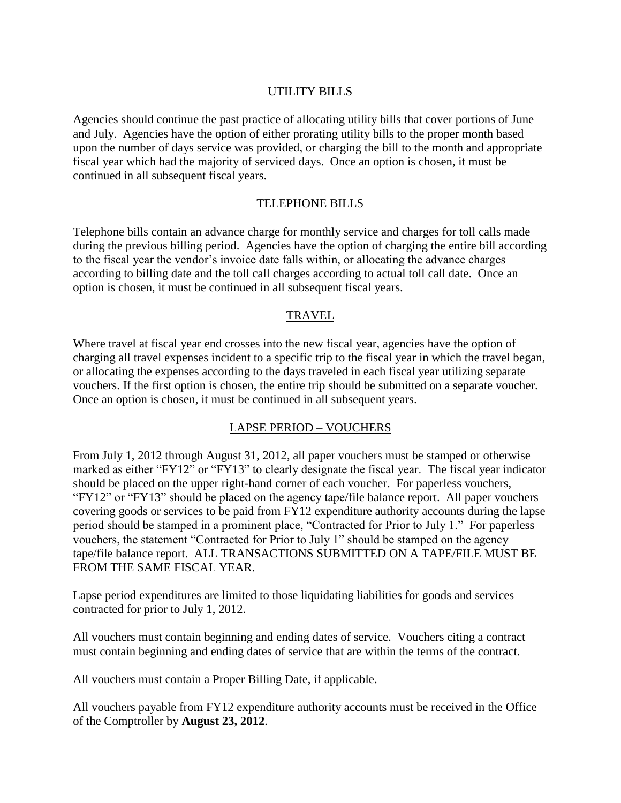## UTILITY BILLS

Agencies should continue the past practice of allocating utility bills that cover portions of June and July. Agencies have the option of either prorating utility bills to the proper month based upon the number of days service was provided, or charging the bill to the month and appropriate fiscal year which had the majority of serviced days. Once an option is chosen, it must be continued in all subsequent fiscal years.

## TELEPHONE BILLS

Telephone bills contain an advance charge for monthly service and charges for toll calls made during the previous billing period. Agencies have the option of charging the entire bill according to the fiscal year the vendor's invoice date falls within, or allocating the advance charges according to billing date and the toll call charges according to actual toll call date. Once an option is chosen, it must be continued in all subsequent fiscal years.

## TRAVEL

Where travel at fiscal year end crosses into the new fiscal year, agencies have the option of charging all travel expenses incident to a specific trip to the fiscal year in which the travel began, or allocating the expenses according to the days traveled in each fiscal year utilizing separate vouchers. If the first option is chosen, the entire trip should be submitted on a separate voucher. Once an option is chosen, it must be continued in all subsequent years.

## LAPSE PERIOD – VOUCHERS

From July 1, 2012 through August 31, 2012, all paper vouchers must be stamped or otherwise marked as either "FY12" or "FY13" to clearly designate the fiscal year. The fiscal year indicator should be placed on the upper right-hand corner of each voucher. For paperless vouchers, "FY12" or "FY13" should be placed on the agency tape/file balance report. All paper vouchers covering goods or services to be paid from FY12 expenditure authority accounts during the lapse period should be stamped in a prominent place, "Contracted for Prior to July 1." For paperless vouchers, the statement "Contracted for Prior to July 1" should be stamped on the agency tape/file balance report. ALL TRANSACTIONS SUBMITTED ON A TAPE/FILE MUST BE FROM THE SAME FISCAL YEAR.

Lapse period expenditures are limited to those liquidating liabilities for goods and services contracted for prior to July 1, 2012.

All vouchers must contain beginning and ending dates of service. Vouchers citing a contract must contain beginning and ending dates of service that are within the terms of the contract.

All vouchers must contain a Proper Billing Date, if applicable.

All vouchers payable from FY12 expenditure authority accounts must be received in the Office of the Comptroller by **August 23, 2012**.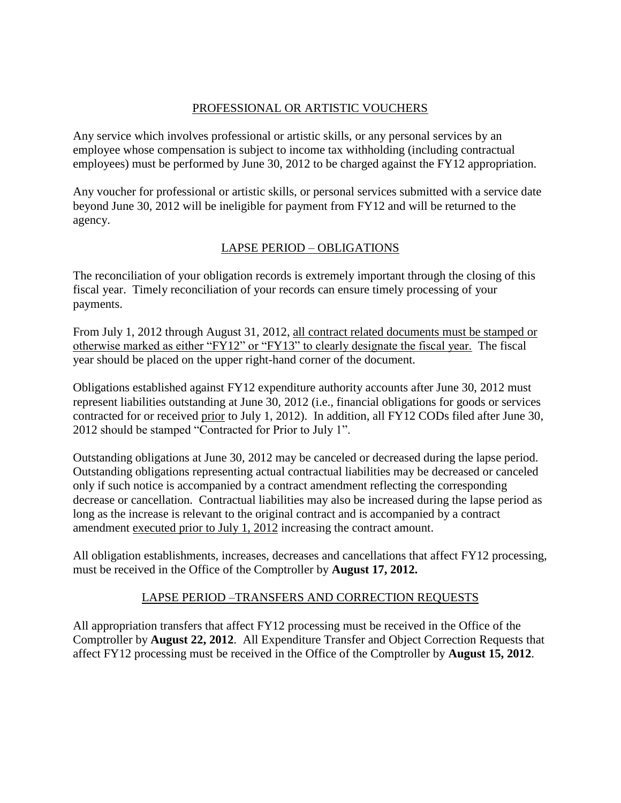## PROFESSIONAL OR ARTISTIC VOUCHERS

Any service which involves professional or artistic skills, or any personal services by an employee whose compensation is subject to income tax withholding (including contractual employees) must be performed by June 30, 2012 to be charged against the FY12 appropriation.

Any voucher for professional or artistic skills, or personal services submitted with a service date beyond June 30, 2012 will be ineligible for payment from FY12 and will be returned to the agency.

## LAPSE PERIOD – OBLIGATIONS

The reconciliation of your obligation records is extremely important through the closing of this fiscal year. Timely reconciliation of your records can ensure timely processing of your payments.

From July 1, 2012 through August 31, 2012, all contract related documents must be stamped or otherwise marked as either "FY12" or "FY13" to clearly designate the fiscal year. The fiscal year should be placed on the upper right-hand corner of the document.

Obligations established against FY12 expenditure authority accounts after June 30, 2012 must represent liabilities outstanding at June 30, 2012 (i.e., financial obligations for goods or services contracted for or received prior to July 1, 2012). In addition, all FY12 CODs filed after June 30, 2012 should be stamped "Contracted for Prior to July 1".

Outstanding obligations at June 30, 2012 may be canceled or decreased during the lapse period. Outstanding obligations representing actual contractual liabilities may be decreased or canceled only if such notice is accompanied by a contract amendment reflecting the corresponding decrease or cancellation. Contractual liabilities may also be increased during the lapse period as long as the increase is relevant to the original contract and is accompanied by a contract amendment executed prior to July 1, 2012 increasing the contract amount.

All obligation establishments, increases, decreases and cancellations that affect FY12 processing, must be received in the Office of the Comptroller by **August 17, 2012.**

## LAPSE PERIOD –TRANSFERS AND CORRECTION REQUESTS

All appropriation transfers that affect FY12 processing must be received in the Office of the Comptroller by **August 22, 2012**. All Expenditure Transfer and Object Correction Requests that affect FY12 processing must be received in the Office of the Comptroller by **August 15, 2012**.